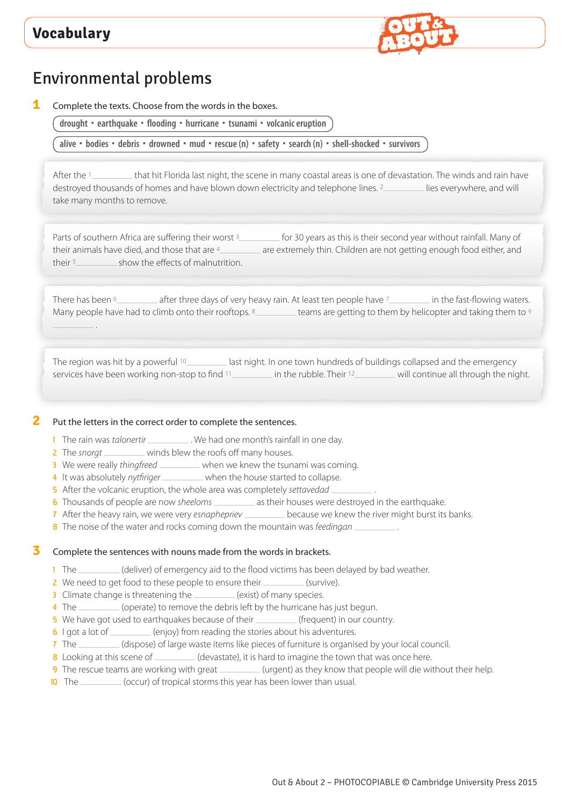

# Environmental problems

**1** Complete the texts. Choose from the words in the boxes.

**drought • earthquake • flooding • hurricane • tsunami • volcanic eruption**

alive • bodies • debris • drowned • mud • rescue (n) • safety • search (n) • shell-shocked • survivors

After the 1 that hit Florida last night, the scene in many coastal areas is one of devastation. The winds and rain have destroyed thousands of homes and have blown down electricity and telephone lines. <sup>2</sup> lies everywhere, and will take many months to remove.

Parts of southern Africa are suffering their worst 3 for 30 years as this is their second year without rainfall. Many of their animals have died, and those that are  $4 \sim 2$  are extremely thin. Children are not getting enough food either, and their  $5$  show the effects of malnutrition.

There has been <sup>6</sup> after three days of very heavy rain. At least ten people have <sup>7</sup> in the fast-flowing waters. Many people have had to climb onto their rooftops. <sup>8</sup> teams are getting to them by helicopter and taking them to <sup>9</sup> .

The region was hit by a powerful <sup>10</sup> last night. In one town hundreds of buildings collapsed and the emergency services have been working non-stop to find 11\_\_\_\_\_\_\_\_\_\_ in the rubble. Their 12\_\_\_\_\_\_\_\_\_ will continue all through the night.

### **2** Put the letters in the correct order to complete the sentences.

- 1 The rain was *talonertir* \_\_\_\_\_\_\_\_\_\_\_. We had one month's rainfall in one day.
- 2 The *snorgt* \_\_\_\_\_\_\_\_ winds blew the roofs off many houses.
- 3 We were really *thingfreed* \_\_\_\_\_\_\_\_ when we knew the tsunami was coming.
- 4 It was absolutely *nytfiriger* when the house started to collapse.
- 5 After the volcanic eruption, the whole area was completely *settavedad* .
- 6 Thousands of people are now *sheeloms* \_\_\_\_\_\_\_\_\_ as their houses were destroyed in the earthquake.
- 7 After the heavy rain, we were very *esnaphepriev* \_\_\_\_\_\_\_\_\_\_\_ because we knew the river might burst its banks.
- 8 The noise of the water and rocks coming down the mountain was *feedingan* .

### **3** Complete the sentences with nouns made from the words in brackets.

- 1 The \_\_\_\_\_\_\_\_\_(deliver) of emergency aid to the flood victims has been delayed by bad weather.
- 2 We need to get food to these people to ensure their (survive).
- 3 Climate change is threatening the \_\_\_\_\_\_\_ (exist) of many species.
- 4 The (operate) to remove the debris left by the hurricane has just begun.
- 5 We have got used to earthquakes because of their (frequent) in our country.
- 6 I got a lot of \_\_\_\_\_\_\_\_\_ (enjoy) from reading the stories about his adventures.
- 7 The (dispose) of large waste items like pieces of furniture is organised by your local council.
- 8 Looking at this scene of (devastate), it is hard to imagine the town that was once here.
- 9 The rescue teams are working with great (urgent) as they know that people will die without their help.
- 10 The \_\_\_\_\_\_\_(occur) of tropical storms this year has been lower than usual.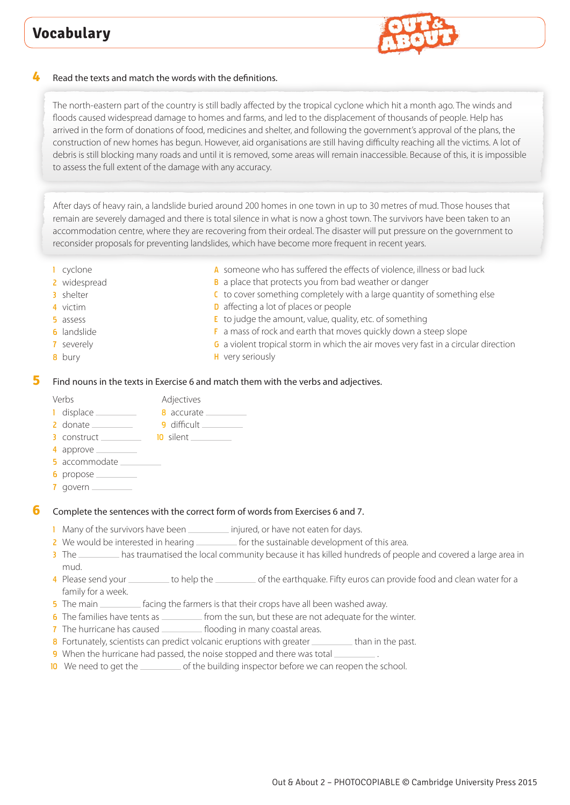

### **4** Read the texts and match the words with the definitions.

The north-eastern part of the country is still badly affected by the tropical cyclone which hit a month ago. The winds and floods caused widespread damage to homes and farms, and led to the displacement of thousands of people. Help has arrived in the form of donations of food, medicines and shelter, and following the government's approval of the plans, the construction of new homes has begun. However, aid organisations are still having difficulty reaching all the victims. A lot of debris is still blocking many roads and until it is removed, some areas will remain inaccessible. Because of this, it is impossible to assess the full extent of the damage with any accuracy.

After days of heavy rain, a landslide buried around 200 homes in one town in up to 30 metres of mud. Those houses that remain are severely damaged and there is total silence in what is now a ghost town. The survivors have been taken to an accommodation centre, where they are recovering from their ordeal. The disaster will put pressure on the government to reconsider proposals for preventing landslides, which have become more frequent in recent years.

- 1 cyclone
- 2 widespread
- 3 shelter
- 4 victim
- 5 assess
- 6 landslide
- 7 severely
- 8 bury
- A someone who has suffered the effects of violence, illness or bad luck
- **B** a place that protects you from bad weather or danger
- C to cover something completely with a large quantity of something else
- **D** affecting a lot of places or people
- E to judge the amount, value, quality, etc. of something
- F a mass of rock and earth that moves quickly down a steep slope
- G a violent tropical storm in which the air moves very fast in a circular direction
- H very seriously

#### **5** Find nouns in the texts in Exercise 6 and match them with the verbs and adjectives.

- Verbs **Adjectives** 1 displace 8 accurate 2 donate 9 difficult
- 3 construct 10 silent
- 4 approve  $\equiv$
- 5 accommodate \_\_\_\_
- **6** propose
- 7 govern

### **6** Complete the sentences with the correct form of words from Exercises 6 and 7.

- 1 Many of the survivors have been **injured**, or have not eaten for days.
- 2 We would be interested in hearing  $\frac{1}{2}$  for the sustainable development of this area.
- 3 The \_\_\_\_\_\_\_\_ has traumatised the local community because it has killed hundreds of people and covered a large area in mud.
- 4 Please send your \_\_\_\_\_\_\_\_\_ to help the \_\_\_\_\_\_\_\_\_\_ of the earthquake. Fifty euros can provide food and clean water for a family for a week.
- 5 The main <u>facing</u> the farmers is that their crops have all been washed away.
- 6 The families have tents as  $f{f}$  from the sun, but these are not adequate for the winter.
- 7 The hurricane has caused \_\_\_\_\_\_\_\_\_\_\_ flooding in many coastal areas.
- 8 Fortunately, scientists can predict volcanic eruptions with greater than in the past.
- 9 When the hurricane had passed, the noise stopped and there was total
- 10 We need to get the <u>second</u> of the building inspector before we can reopen the school.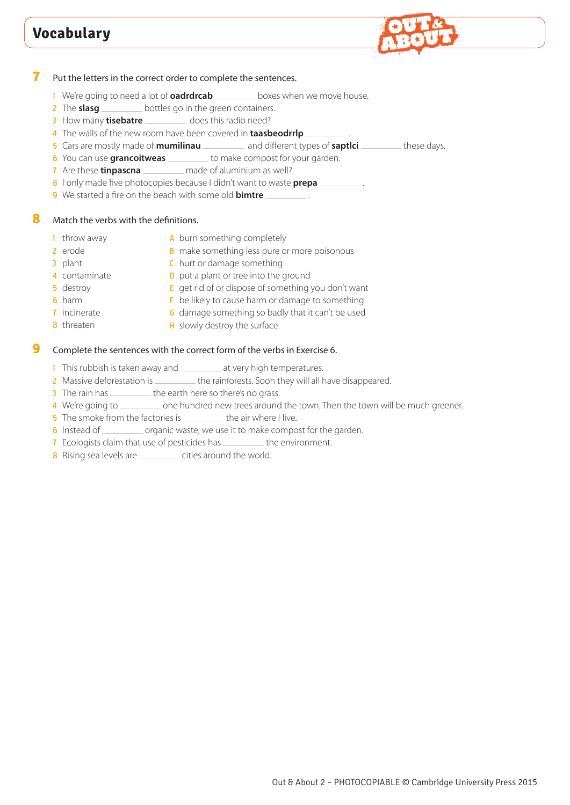

### **7** Put the letters in the correct order to complete the sentences.

- 1 We're going to need a lot of **oadrdrcab** boxes when we move house.
- 2 The **slasg** <u>bottles</u> go in the green containers.
- 3 How many **tisebatre** \_\_\_\_\_\_\_\_\_ does this radio need?
- 4 The walls of the new room have been covered in **taasbeodrrlp** .
- 5 Cars are mostly made of **mumilinau** \_\_\_\_\_\_\_\_ and different types of **saptlei** \_\_\_\_\_\_\_ these days.
- 6 You can use **grancoitweas** to make compost for your garden.
- 7 Are these **tinpascna** \_\_\_\_\_\_\_\_\_ made of aluminium as well?
- 8 I only made five photocopies because I didn't want to waste **prepa** .
- 9 We started a fire on the beach with some old **bimtre** .

### **8** Match the verbs with the definitions.

- 1 throw away
- A burn something completely
- 2 erode **B** make something less pure or more poisonous
	- C hurt or damage something
- 4 contaminate

7 incinerate

- 5 destroy
- 6 harm

3 plant

- **D** put a plant or tree into the ground
	- $E$  get rid of or dispose of something you don't want
	- F be likely to cause harm or damage to something
	- **G** damage something so badly that it can't be used
- 8 threaten H slowly destroy the surface

### **9** Complete the sentences with the correct form of the verbs in Exercise 6.

- 1 This rubbish is taken away and \_\_\_\_\_\_\_\_\_ at very high temperatures.
- 2 Massive deforestation is \_\_\_\_\_\_\_\_\_\_\_ the rainforests. Soon they will all have disappeared.
- 3 The rain has \_\_\_\_\_\_\_\_\_\_ the earth here so there's no grass.
- 4 We're going to <u>second one hundred new trees around the town</u>. Then the town will be much greener.
- 5 The smoke from the factories is \_\_\_\_\_\_\_\_\_ the air where I live.
- 6 Instead of \_\_\_\_\_\_\_\_ organic waste, we use it to make compost for the garden.
- 7 Ecologists claim that use of pesticides has \_\_\_\_\_\_\_\_\_ the environment.
- 8 Rising sea levels are <u>come cities around the world</u>.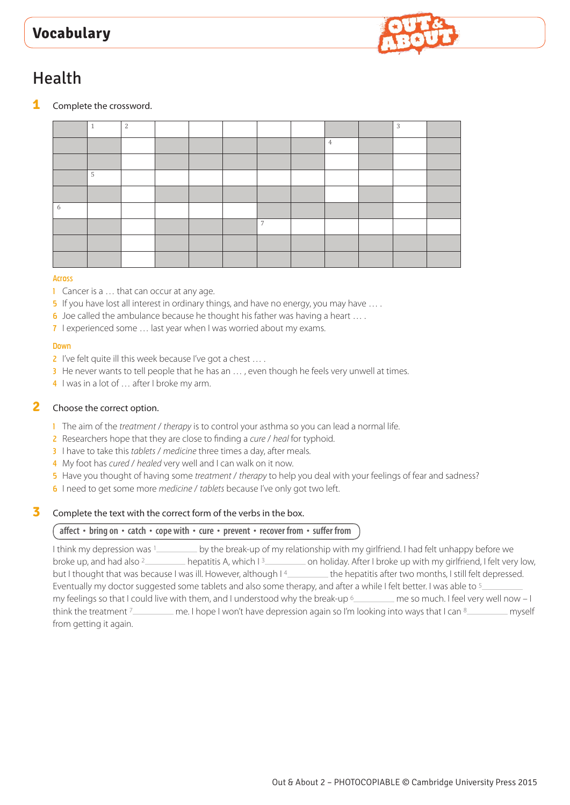

# Health

**1** Complete the crossword.

|   | 4 | 2 |  |                |                | 3 |  |
|---|---|---|--|----------------|----------------|---|--|
|   |   |   |  |                | $\overline{4}$ |   |  |
|   |   |   |  |                |                |   |  |
|   | 5 |   |  |                |                |   |  |
|   |   |   |  |                |                |   |  |
| 6 |   |   |  |                |                |   |  |
|   |   |   |  | $\overline{ }$ |                |   |  |
|   |   |   |  |                |                |   |  |
|   |   |   |  |                |                |   |  |

#### Across

- 1 Cancer is a ... that can occur at any age.
- 5 If you have lost all interest in ordinary things, and have no energy, you may have ....
- 6 Joe called the ambulance because he thought his father was having a heart … .
- 7 I experienced some … last year when I was worried about my exams.

#### Down

- 2 I've felt quite ill this week because I've got a chest ....
- 3 He never wants to tell people that he has an ..., even though he feels very unwell at times.
- 4 I was in a lot of ... after I broke my arm.

## **2** Choose the correct option.

- 1 The aim of the *treatment* / *therapy* is to control your asthma so you can lead a normal life.
- 2 Researchers hope that they are close to finding a *cure* / *heal* for typhoid.
- 3 I have to take this *tablets* / *medicine* three times a day, after meals.
- 4 My foot has *cured* / *healed* very well and I can walk on it now.
- 5 Have you thought of having some *treatment* / *therapy* to help you deal with your feelings of fear and sadness?
- 6 I need to get some more *medicine* / *tablets* because I've only got two left.

### **3** Complete the text with the correct form of the verbs in the box.

### **affect • bring on • catch • cope with • cure • prevent • recover from • suffer from**

I think my depression was 1 by the break-up of my relationship with my girlfriend. I had felt unhappy before we broke up, and had also <sup>2</sup> hepatitis A, which I<sup>3</sup> on holiday. After I broke up with my girlfriend, I felt very low, but I thought that was because I was ill. However, although I<sup>4</sup> the hepatitis after two months, I still felt depressed. Eventually my doctor suggested some tablets and also some therapy, and after a while I felt better. I was able to 5 my feelings so that I could live with them, and I understood why the break-up  $6$  me so much. I feel very well now - I think the treatment 7 me. I hope I won't have depression again so I'm looking into ways that I can 8 from getting it again.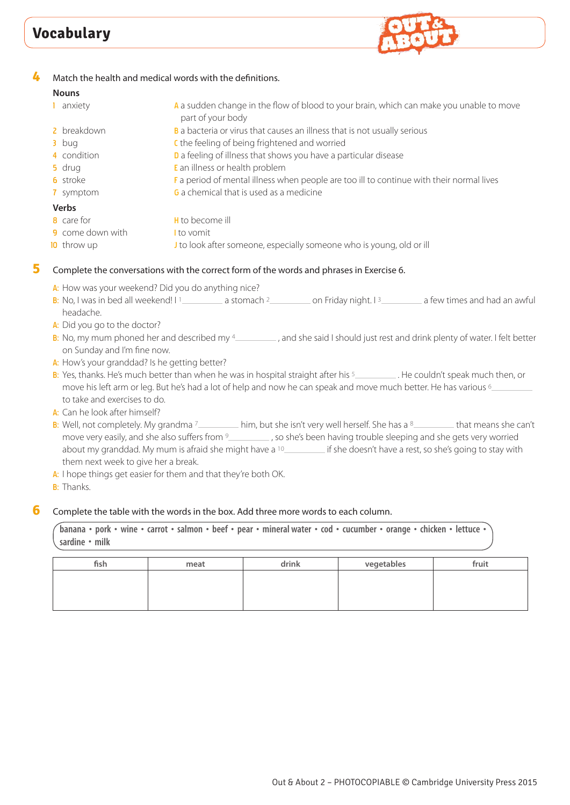

## **4** Match the health and medical words with the definitions.

## **Nouns**

| 1 anxiety               | A a sudden change in the flow of blood to your brain, which can make you unable to move<br>part of your body |
|-------------------------|--------------------------------------------------------------------------------------------------------------|
| 2 breakdown             | B a bacteria or virus that causes an illness that is not usually serious                                     |
| $3$ bug                 | C the feeling of being frightened and worried                                                                |
| 4 condition             | D a feeling of illness that shows you have a particular disease                                              |
| 5 drug                  | E an illness or health problem                                                                               |
| <b>6</b> stroke         | F a period of mental illness when people are too ill to continue with their normal lives                     |
| 7 symptom               | <b>G</b> a chemical that is used as a medicine                                                               |
| <b>Verbs</b>            |                                                                                                              |
| 8 care for              | <b>H</b> to become ill                                                                                       |
| <b>9</b> come down with | I to vomit                                                                                                   |
| <b>10</b> throw up      | I to look after someone, especially someone who is young, old or ill                                         |

## **5** Complete the conversations with the correct form of the words and phrases in Exercise 6.

- A: How was your weekend? Did you do anything nice?
- B: No, I was in bed all weekend! I  $\frac{1}{2}$  a stomach  $\frac{2}{2}$  on Friday night. I  $\frac{3}{2}$  a few times and had an awful headache.
- A: Did you go to the doctor?
- B: No, my mum phoned her and described my <sup>4</sup> , and she said I should just rest and drink plenty of water. I felt better on Sunday and I'm fine now.
- A: How's your granddad? Is he getting better?
- B: Yes, thanks. He's much better than when he was in hospital straight after his  $5$  . He couldn't speak much then, or move his left arm or leg. But he's had a lot of help and now he can speak and move much better. He has various <sup>6</sup> to take and exercises to do.
- A: Can he look after himself?
- B: Well, not completely. My grandma <sup>7</sup> him, but she isn't very well herself. She has a 8 helm at means she can't move very easily, and she also suffers from 9 , so she's been having trouble sleeping and she gets very worried about my granddad. My mum is afraid she might have a <sup>10</sup> if she doesn't have a rest, so she's going to stay with them next week to give her a break.
- A: I hope things get easier for them and that they're both OK.
- **B:** Thanks.

### **6** Complete the table with the words in the box. Add three more words to each column.

banana • pork • wine • carrot • salmon • beef • pear • mineral water • cod • cucumber • orange • chicken • lettuce • **sardine • milk**

| fish | meat | drink | vegetables | fruit |
|------|------|-------|------------|-------|
|      |      |       |            |       |
|      |      |       |            |       |
|      |      |       |            |       |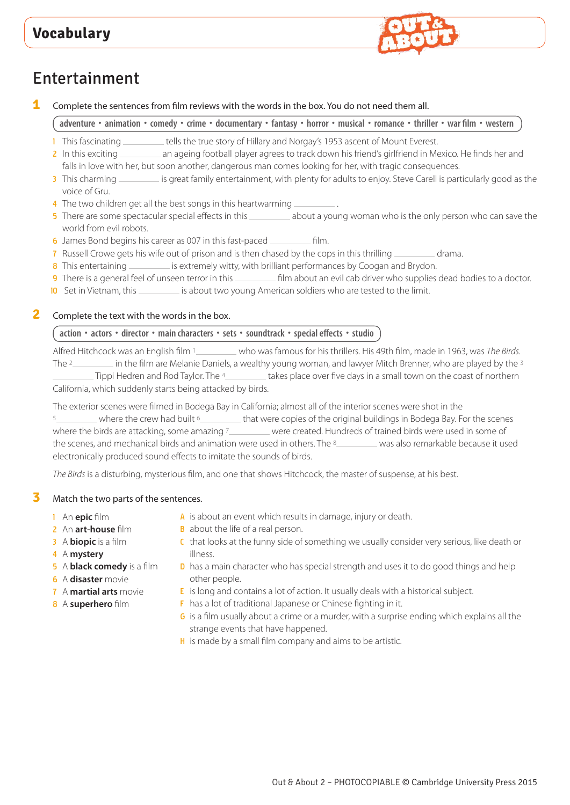

# Entertainment

**1** Complete the sentences from film reviews with the words in the box. You do not need them all.

adventure • animation • comedy • crime • documentary • fantasy • horror • musical • romance • thriller • war film • western

- 1 This fascinating \_\_\_\_\_\_\_\_ tells the true story of Hillary and Norgay's 1953 ascent of Mount Everest.
- 2 In this exciting \_\_\_\_\_\_\_\_ an ageing football player agrees to track down his friend's girlfriend in Mexico. He finds her and falls in love with her, but soon another, dangerous man comes looking for her, with tragic consequences.
- 3 This charming is great family entertainment, with plenty for adults to enjoy. Steve Carell is particularly good as the voice of Gru.
- 4 The two children get all the best songs in this heartwarming .
- 5 There are some spectacular special effects in this about a young woman who is the only person who can save the world from evil robots.
- 6 James Bond begins his career as 007 in this fast-paced film.
- 7 Russell Crowe gets his wife out of prison and is then chased by the cops in this thrilling \_\_\_\_\_\_\_\_\_\_\_ drama.
- 8 This entertaining \_\_\_\_\_\_\_\_\_\_ is extremely witty, with brilliant performances by Coogan and Brydon.
- 9 There is a general feel of unseen terror in this \_\_\_\_\_\_\_\_\_\_\_ film about an evil cab driver who supplies dead bodies to a doctor.
- 10 Set in Vietnam, this is about two young American soldiers who are tested to the limit.

## **2** Complete the text with the words in the box.

## **action • actors • director • main characters • sets • soundtrack • special effects • studio**

Alfred Hitchcock was an English film 1 who was famous for his thrillers. His 49th film, made in 1963, was *The Birds*. The <sup>2</sup> in the film are Melanie Daniels, a wealthy young woman, and lawyer Mitch Brenner, who are played by the 3  $\Box$ Tippi Hedren and Rod Taylor. The 4 takes place over five days in a small town on the coast of northern California, which suddenly starts being attacked by birds.

The exterior scenes were filmed in Bodega Bay in California; almost all of the interior scenes were shot in the  $\sim$  where the crew had built  $\delta$   $\sim$  that were copies of the original buildings in Bodega Bay. For the scenes where the birds are attacking, some amazing 7 were created. Hundreds of trained birds were used in some of the scenes, and mechanical birds and animation were used in others. The 8\_\_\_\_\_\_\_\_ was also remarkable because it used electronically produced sound effects to imitate the sounds of birds.

*The Birds* is a disturbing, mysterious film, and one that shows Hitchcock, the master of suspense, at his best.

### **3** Match the two parts of the sentences.

- 1 An **epic** film
- 2 An **art-house** film
- 3 A **biopic** is a film
- 4 A **mystery**
- 5 A **black comedy** is a film
- 6 A **disaster** movie
- 7 A **martial arts** movie
- 8 A **superhero** film
- A is about an event which results in damage, injury or death.
- **B** about the life of a real person.
- C that looks at the funny side of something we usually consider very serious, like death or illness.
- D has a main character who has special strength and uses it to do good things and help other people.
- $E$  is long and contains a lot of action. It usually deals with a historical subject.
- F has a lot of traditional Japanese or Chinese fighting in it.
- G is a film usually about a crime or a murder, with a surprise ending which explains all the strange events that have happened.
- H is made by a small film company and aims to be artistic.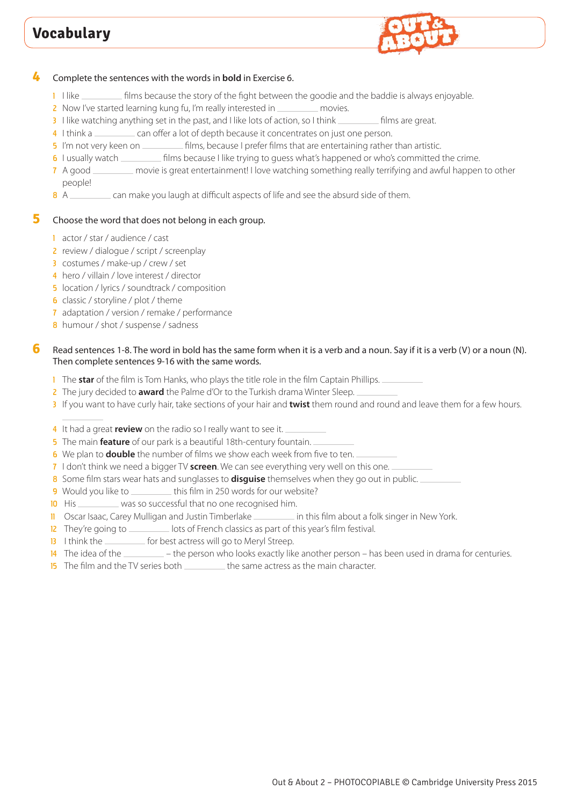

### **4** Complete the sentences with the words in **bold** in Exercise 6.

- 1 I like  $\equiv$  films because the story of the fight between the goodie and the baddie is always enjoyable.
- 2 Now I've started learning kung fu, I'm really interested in \_\_\_\_\_\_\_\_\_ movies.
- 3 I like watching anything set in the past, and I like lots of action, so I think *films* are great.
- 4 I think a can offer a lot of depth because it concentrates on just one person.
- 5 I'm not very keen on **Films**, because I prefer films that are entertaining rather than artistic.
- 6 I usually watch *films because I like trying to guess what's happened or who's committed the crime.*
- 7 A good \_\_\_\_\_\_\_ movie is great entertainment! I love watching something really terrifying and awful happen to other people!
- 8 A can make you laugh at difficult aspects of life and see the absurd side of them.

### **5** Choose the word that does not belong in each group.

- 1 actor / star / audience / cast
- 2 review / dialogue / script / screenplay
- 3 costumes / make-up / crew / set
- 4 hero / villain / love interest / director
- 5 location / lyrics / soundtrack / composition
- 6 classic / storyline / plot / theme
- 7 adaptation / version / remake / performance
- 8 humour / shot / suspense / sadness

### **6** Read sentences 1-8. The word in bold has the same form when it is a verb and a noun. Say if it is a verb (V) or a noun (N). Then complete sentences 9-16 with the same words.

- 1 The **star** of the film is Tom Hanks, who plays the title role in the film Captain Phillips.
- 2 The jury decided to **award** the Palme d'Or to the Turkish drama Winter Sleep.
- 3 If you want to have curly hair, take sections of your hair and **twist** them round and round and leave them for a few hours.
- 4 It had a great **review** on the radio so I really want to see it.
- 5 The main **feature** of our park is a beautiful 18th-century fountain.
- 6 We plan to **double** the number of films we show each week from five to ten.
- 7 I don't think we need a bigger TV **screen**. We can see everything very well on this one.
- 8 Some film stars wear hats and sunglasses to **disguise** themselves when they go out in public.
- 9 Would you like to this film in 250 words for our website?
- 10 His was so successful that no one recognised him.
- 11 Oscar Isaac, Carey Mulligan and Justin Timberlake in this film about a folk singer in New York.
- 12 They're going to <u>lots of French classics as part of this year's film festival.</u>
- 13 I think the *for best actress will go to Meryl Streep*.
- 14 The idea of the <u>entities and the person who looks</u> exactly like another person has been used in drama for centuries.
- 15 The film and the TV series both \_\_\_\_\_\_\_\_\_ the same actress as the main character.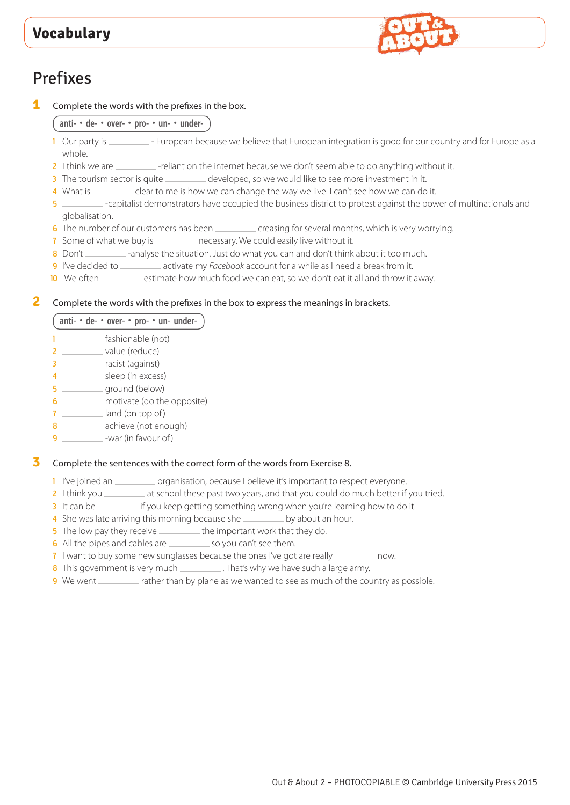

# Prefixes

**1** Complete the words with the prefixes in the box.

**anti- • de- • over- • pro- • un- • under-**

- 1 Our party is \_\_\_\_\_\_\_\_\_\_ European because we believe that European integration is good for our country and for Europe as a whole.
- 2 I think we are \_\_\_\_\_\_\_\_ -reliant on the internet because we don't seem able to do anything without it.
- 3 The tourism sector is quite \_\_\_\_\_\_\_\_ developed, so we would like to see more investment in it.
- 4 What is \_\_\_\_\_\_\_\_ clear to me is how we can change the way we live. I can't see how we can do it.
- 5 -capitalist demonstrators have occupied the business district to protest against the power of multinationals and globalisation.
- 6 The number of our customers has been creasing for several months, which is very worrying.
- 7 Some of what we buy is \_\_\_\_\_\_\_\_\_\_ necessary. We could easily live without it.
- 8 Don't \_\_\_\_\_\_\_\_\_ -analyse the situation. Just do what you can and don't think about it too much.
- 9 I've decided to \_\_\_\_\_\_\_\_\_\_\_ activate my *Facebook* account for a while as I need a break from it.
- 10 We often \_\_\_\_\_\_\_ estimate how much food we can eat, so we don't eat it all and throw it away.

## **2** Complete the words with the prefixes in the box to express the meanings in brackets.

**anti- • de- • over- • pro- • un- under-**

- 1 **fashionable** (not)
- 2 value (reduce)
- 3 \_\_\_\_\_\_\_\_ racist (against)
- 4 \_\_\_\_\_\_\_\_\_\_ sleep (in excess)
- $\overline{\mathbf{5}}$  ground (below)
- 6 **motivate** (do the opposite)
- $7 \sim$  land (on top of)
- achieve (not enough)
- 9  **War (in favour of)**

### **3** Complete the sentences with the correct form of the words from Exercise 8.

- 1 I've joined an \_\_\_\_\_\_\_\_\_\_\_ organisation, because I believe it's important to respect everyone.
- 2 I think you \_\_\_\_\_\_\_\_ at school these past two years, and that you could do much better if you tried.
- 2 It differs you encourant the you can be interested with you come to the your company of the carry of the state of the state of the state of the state of the state of the state of the state of the state of the state of th
- 4 She was late arriving this morning because she seed by about an hour.
- 5 The low pay they receive \_\_\_\_\_\_\_\_\_ the important work that they do.
- 6 All the pipes and cables are \_\_\_\_\_\_\_\_\_ so you can't see them.
- 7 I want to buy some new sunglasses because the ones I've got are really \_\_\_\_\_\_\_\_\_\_ now.
- 8 This government is very much \_\_\_\_\_\_\_\_\_\_. That's why we have such a large army.
- 9 We went \_\_\_\_\_\_\_\_ rather than by plane as we wanted to see as much of the country as possible.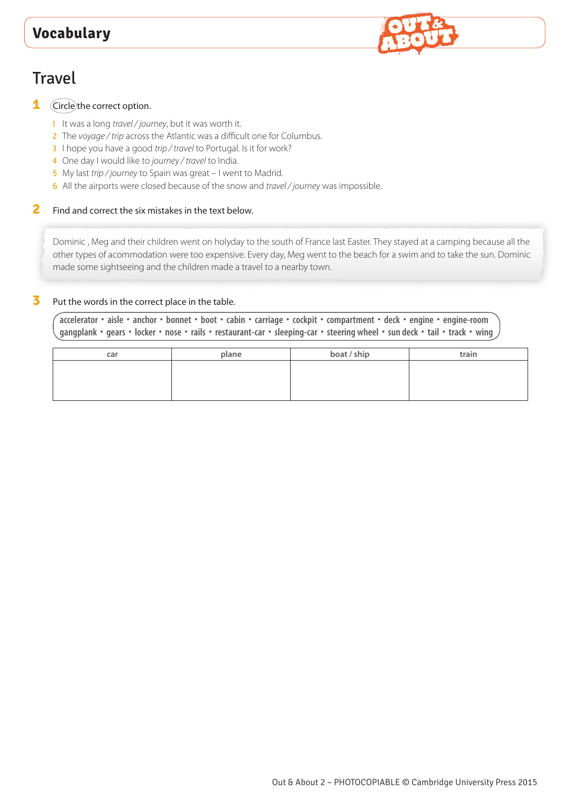

## **1** Circle the correct option.

- 1 It was a long *travel / journey*, but it was worth it.
- 2 The *voyage / trip* across the Atlantic was a difficult one for Columbus.
- 3 I hope you have a good *trip / travel* to Portugal. Is it for work?
- 4 One day I would like to *journey / travel* to India.
- 5 My last *trip / journey* to Spain was great I went to Madrid.
- 6 All the airports were closed because of the snow and *travel / journey* was impossible.

## **2** Find and correct the six mistakes in the text below.

Dominic , Meg and their children went on holyday to the south of France last Easter. They stayed at a camping because all the other types of acommodation were too expensive. Every day, Meg went to the beach for a swim and to take the sun. Dominic made some sightseeing and the children made a travel to a nearby town.

## **3** Put the words in the correct place in the table.

accelerator · aisle · anchor · bonnet · boot · cabin · carriage · cockpit · compartment · deck · engine · engine-room gangplank · gears · locker · nose · rails · restaurant-car · sleeping-car · steering wheel · sun deck · tail · track · wing

| car | plane | boat / ship | train |
|-----|-------|-------------|-------|
|     |       |             |       |
|     |       |             |       |
|     |       |             |       |